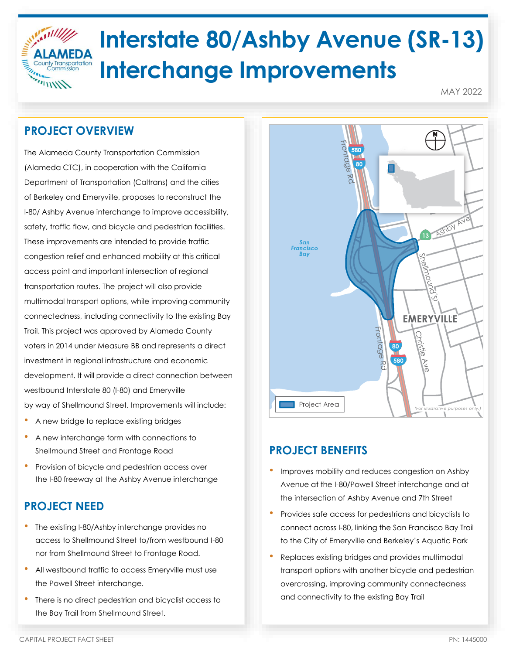

# **Interstate 80/Ashby Avenue (SR-13) Interchange Improvements**

MAY 2022

## **PROJECT OVERVIEW**

The Alameda County Transportation Commission (Alameda CTC), in cooperation with the California Department of Transportation (Caltrans) and the cities of Berkeley and Emeryville, proposes to reconstruct the I-80/ Ashby Avenue interchange to improve accessibility, safety, traffic flow, and bicycle and pedestrian facilities. These improvements are intended to provide traffic congestion relief and enhanced mobility at this critical access point and important intersection of regional transportation routes. The project will also provide multimodal transport options, while improving community connectedness, including connectivity to the existing Bay Trail. This project was approved by Alameda County voters in 2014 under Measure BB and represents a direct investment in regional infrastructure and economic development. It will provide a direct connection between westbound Interstate 80 (I-80) and Emeryville by way of Shellmound Street. Improvements will include:

- A new bridge to replace existing bridges
- A new interchange form with connections to Shellmound Street and Frontage Road
- Provision of bicycle and pedestrian access over the I-80 freeway at the Ashby Avenue interchange

# **PROJECT NEED**

- The existing I-80/Ashby interchange provides no access to Shellmound Street to/from westbound I-80 nor from Shellmound Street to Frontage Road.
- All westbound traffic to access Emeryville must use the Powell Street interchange.
- There is no direct pedestrian and bicyclist access to the Bay Trail from Shellmound Street.



# **PROJECT BENEFITS**

- Improves mobility and reduces congestion on Ashby Avenue at the I-80/Powell Street interchange and at the intersection of Ashby Avenue and 7th Street
- Provides safe access for pedestrians and bicyclists to connect across I-80, linking the San Francisco Bay Trail to the City of Emeryville and Berkeley's Aquatic Park
- Replaces existing bridges and provides multimodal transport options with another bicycle and pedestrian overcrossing, improving community connectedness and connectivity to the existing Bay Trail